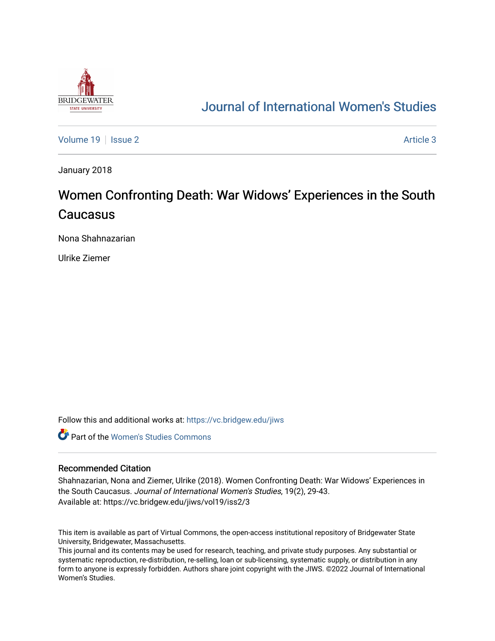

## [Journal of International Women's Studies](https://vc.bridgew.edu/jiws)

[Volume 19](https://vc.bridgew.edu/jiws/vol19) | [Issue 2](https://vc.bridgew.edu/jiws/vol19/iss2) Article 3

January 2018

# Women Confronting Death: War Widows' Experiences in the South Caucasus

Nona Shahnazarian

Ulrike Ziemer

Follow this and additional works at: [https://vc.bridgew.edu/jiws](https://vc.bridgew.edu/jiws?utm_source=vc.bridgew.edu%2Fjiws%2Fvol19%2Fiss2%2F3&utm_medium=PDF&utm_campaign=PDFCoverPages)

**C** Part of the Women's Studies Commons

#### Recommended Citation

Shahnazarian, Nona and Ziemer, Ulrike (2018). Women Confronting Death: War Widows' Experiences in the South Caucasus. Journal of International Women's Studies, 19(2), 29-43. Available at: https://vc.bridgew.edu/jiws/vol19/iss2/3

This item is available as part of Virtual Commons, the open-access institutional repository of Bridgewater State University, Bridgewater, Massachusetts.

This journal and its contents may be used for research, teaching, and private study purposes. Any substantial or systematic reproduction, re-distribution, re-selling, loan or sub-licensing, systematic supply, or distribution in any form to anyone is expressly forbidden. Authors share joint copyright with the JIWS. ©2022 Journal of International Women's Studies.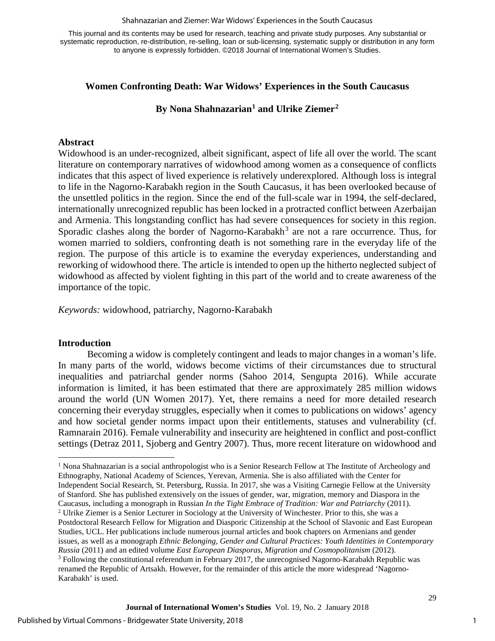#### Shahnazarian and Ziemer: War Widows' Experiences in the South Caucasus

This journal and its contents may be used for research, teaching and private study purposes. Any substantial or systematic reproduction, re-distribution, re-selling, loan or sub-licensing, systematic supply or distribution in any form to anyone is expressly forbidden. ©2018 Journal of International Women's Studies.

## **Women Confronting Death: War Widows' Experiences in the South Caucasus**

## **By Nona Shahnazarian[1](#page-1-0) and Ulrike Ziemer[2](#page-1-1)**

### **Abstract**

Widowhood is an under-recognized, albeit significant, aspect of life all over the world. The scant literature on contemporary narratives of widowhood among women as a consequence of conflicts indicates that this aspect of lived experience is relatively underexplored. Although loss is integral to life in the Nagorno-Karabakh region in the South Caucasus, it has been overlooked because of the unsettled politics in the region. Since the end of the full-scale war in 1994, the self-declared, internationally unrecognized republic has been locked in a protracted conflict between Azerbaijan and Armenia. This longstanding conflict has had severe consequences for society in this region. Sporadic clashes along the border of Nagorno-Karabakh<sup>[3](#page-1-2)</sup> are not a rare occurrence. Thus, for women married to soldiers, confronting death is not something rare in the everyday life of the region. The purpose of this article is to examine the everyday experiences, understanding and reworking of widowhood there. The article is intended to open up the hitherto neglected subject of widowhood as affected by violent fighting in this part of the world and to create awareness of the importance of the topic.

*Keywords:* widowhood, patriarchy, Nagorno-Karabakh

#### **Introduction**

l

Becoming a widow is completely contingent and leads to major changes in a woman's life. In many parts of the world, widows become victims of their circumstances due to structural inequalities and patriarchal gender norms (Sahoo 2014, Sengupta 2016). While accurate information is limited, it has been estimated that there are approximately 285 million widows around the world (UN Women 2017). Yet, there remains a need for more detailed research concerning their everyday struggles, especially when it comes to publications on widows' agency and how societal gender norms impact upon their entitlements, statuses and vulnerability (cf. Ramnarain 2016). Female vulnerability and insecurity are heightened in conflict and post-conflict settings (Detraz 2011, Sjoberg and Gentry 2007). Thus, more recent literature on widowhood and

<span id="page-1-2"></span><span id="page-1-1"></span><span id="page-1-0"></span><sup>&</sup>lt;sup>1</sup> Nona Shahnazarian is a social anthropologist who is a Senior Research Fellow at The Institute of Archeology and Ethnography, National Academy of Sciences, Yerevan, Armenia. She is also affiliated with the Center for Independent Social Research, St. Petersburg, Russia. In 2017, she was a Visiting Carnegie Fellow at the University of Stanford. She has published extensively on the issues of gender, war, migration, memory and Diaspora in the Caucasus, including a monograph in Russian *In the Tight Embrace of Tradition: War and Patriarchy* (2011). <sup>2</sup> Ulrike Ziemer is a Senior Lecturer in Sociology at the University of Winchester. Prior to this, she was a Postdoctoral Research Fellow for Migration and Diasporic Citizenship at the School of Slavonic and East European Studies, UCL. Her publications include numerous journal articles and book chapters on Armenians and gender issues, as well as a monograph *Ethnic Belonging, Gender and Cultural Practices: Youth Identities in Contemporary Russia* (2011) and an edited volume *East European Diasporas, Migration and Cosmopolitanism* (2012). <sup>3</sup> Following the constitutional referendum in February 2017, the unrecognised Nagorno-Karabakh Republic was renamed the Republic of Artsakh. However, for the remainder of this article the more widespread 'Nagorno-Karabakh' is used.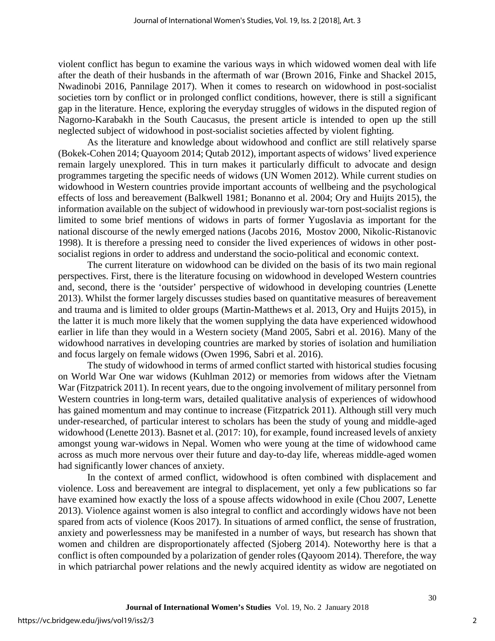violent conflict has begun to examine the various ways in which widowed women deal with life after the death of their husbands in the aftermath of war (Brown 2016, Finke and Shackel 2015, Nwadinobi 2016, Pannilage 2017). When it comes to research on widowhood in post-socialist societies torn by conflict or in prolonged conflict conditions, however, there is still a significant gap in the literature. Hence, exploring the everyday struggles of widows in the disputed region of Nagorno-Karabakh in the South Caucasus, the present article is intended to open up the still neglected subject of widowhood in post-socialist societies affected by violent fighting.

As the literature and knowledge about widowhood and conflict are still relatively sparse (Bokek-Cohen 2014; Quayoom 2014; Qutab 2012), important aspects of widows' lived experience remain largely unexplored. This in turn makes it particularly difficult to advocate and design programmes targeting the specific needs of widows (UN Women 2012). While current studies on widowhood in Western countries provide important accounts of wellbeing and the psychological effects of loss and bereavement (Balkwell 1981; Bonanno et al. 2004; Ory and Huijts 2015), the information available on the subject of widowhood in previously war-torn post-socialist regions is limited to some brief mentions of widows in parts of former Yugoslavia as important for the national discourse of the newly emerged nations (Jacobs 2016, Mostov 2000, Nikolic-Ristanovic 1998). It is therefore a pressing need to consider the lived experiences of widows in other postsocialist regions in order to address and understand the socio-political and economic context.

The current literature on widowhood can be divided on the basis of its two main regional perspectives. First, there is the literature focusing on widowhood in developed Western countries and, second, there is the 'outsider' perspective of widowhood in developing countries (Lenette 2013). Whilst the former largely discusses studies based on quantitative measures of bereavement and trauma and is limited to older groups (Martin-Matthews et al. 2013, Ory and Huijts 2015), in the latter it is much more likely that the women supplying the data have experienced widowhood earlier in life than they would in a Western society (Mand 2005, Sabri et al. 2016). Many of the widowhood narratives in developing countries are marked by stories of isolation and humiliation and focus largely on female widows (Owen 1996, Sabri et al. 2016).

The study of widowhood in terms of armed conflict started with historical studies focusing on World War One war widows (Kuhlman 2012) or memories from widows after the Vietnam War (Fitzpatrick 2011). In recent years, due to the ongoing involvement of military personnel from Western countries in long-term wars, detailed qualitative analysis of experiences of widowhood has gained momentum and may continue to increase (Fitzpatrick 2011). Although still very much under-researched, of particular interest to scholars has been the study of young and middle-aged widowhood (Lenette 2013). Basnet et al. (2017: 10), for example, found increased levels of anxiety amongst young war-widows in Nepal. Women who were young at the time of widowhood came across as much more nervous over their future and day-to-day life, whereas middle-aged women had significantly lower chances of anxiety.

In the context of armed conflict, widowhood is often combined with displacement and violence. Loss and bereavement are integral to displacement, yet only a few publications so far have examined how exactly the loss of a spouse affects widowhood in exile (Chou 2007, Lenette 2013). Violence against women is also integral to conflict and accordingly widows have not been spared from acts of violence (Koos 2017). In situations of armed conflict, the sense of frustration, anxiety and powerlessness may be manifested in a number of ways, but research has shown that women and children are disproportionately affected (Sjoberg 2014). Noteworthy here is that a conflict is often compounded by a polarization of gender roles (Qayoom 2014). Therefore, the way in which patriarchal power relations and the newly acquired identity as widow are negotiated on

2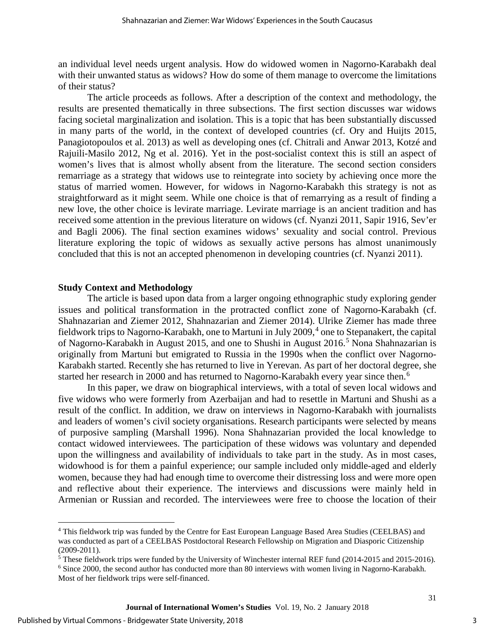an individual level needs urgent analysis. How do widowed women in Nagorno-Karabakh deal with their unwanted status as widows? How do some of them manage to overcome the limitations of their status?

The article proceeds as follows. After a description of the context and methodology, the results are presented thematically in three subsections. The first section discusses war widows facing societal marginalization and isolation. This is a topic that has been substantially discussed in many parts of the world, in the context of developed countries (cf. Ory and Huijts 2015, Panagiotopoulos et al. 2013) as well as developing ones (cf. Chitrali and Anwar 2013, Kotzé and Rajuili-Masilo 2012, Ng et al. 2016). Yet in the post-socialist context this is still an aspect of women's lives that is almost wholly absent from the literature. The second section considers remarriage as a strategy that widows use to reintegrate into society by achieving once more the status of married women. However, for widows in Nagorno-Karabakh this strategy is not as straightforward as it might seem. While one choice is that of remarrying as a result of finding a new love, the other choice is levirate marriage. Levirate marriage is an ancient tradition and has received some attention in the previous literature on widows (cf. Nyanzi 2011, Sapir 1916, Sev'er and Bagli 2006). The final section examines widows' sexuality and social control. Previous literature exploring the topic of widows as sexually active persons has almost unanimously concluded that this is not an accepted phenomenon in developing countries (cf. Nyanzi 2011).

#### **Study Context and Methodology**

The article is based upon data from a larger ongoing ethnographic study exploring gender issues and political transformation in the protracted conflict zone of Nagorno-Karabakh (cf. Shahnazarian and Ziemer 2012, Shahnazarian and Ziemer 2014). Ulrike Ziemer has made three fieldwork trips to Nagorno-Karabakh, one to Martuni in July  $2009<sup>4</sup>$  $2009<sup>4</sup>$  $2009<sup>4</sup>$  one to Stepanakert, the capital of Nagorno-Karabakh in August 2015, and one to Shushi in August 2016. [5](#page-3-1) Nona Shahnazarian is originally from Martuni but emigrated to Russia in the 1990s when the conflict over Nagorno-Karabakh started. Recently she has returned to live in Yerevan. As part of her doctoral degree, she started her research in 2000 and has returned to Nagorno-Karabakh every year since then.<sup>[6](#page-3-2)</sup>

In this paper, we draw on biographical interviews, with a total of seven local widows and five widows who were formerly from Azerbaijan and had to resettle in Martuni and Shushi as a result of the conflict. In addition, we draw on interviews in Nagorno-Karabakh with journalists and leaders of women's civil society organisations. Research participants were selected by means of purposive sampling (Marshall 1996). Nona Shahnazarian provided the local knowledge to contact widowed interviewees. The participation of these widows was voluntary and depended upon the willingness and availability of individuals to take part in the study. As in most cases, widowhood is for them a painful experience; our sample included only middle-aged and elderly women, because they had had enough time to overcome their distressing loss and were more open and reflective about their experience. The interviews and discussions were mainly held in Armenian or Russian and recorded. The interviewees were free to choose the location of their

 $\overline{a}$ 

<span id="page-3-0"></span><sup>4</sup> This fieldwork trip was funded by the Centre for East European Language Based Area Studies (CEELBAS) and was conducted as part of a CEELBAS Postdoctoral Research Fellowship on Migration and Diasporic Citizenship (2009-2011).

 $\frac{5}{5}$  These fieldwork trips were funded by the University of Winchester internal REF fund (2014-2015 and 2015-2016).

<span id="page-3-2"></span><span id="page-3-1"></span><sup>6</sup> Since 2000, the second author has conducted more than 80 interviews with women living in Nagorno-Karabakh. Most of her fieldwork trips were self-financed.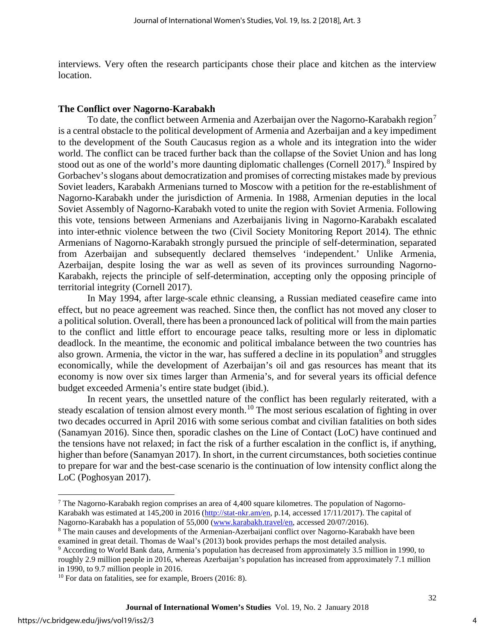interviews. Very often the research participants chose their place and kitchen as the interview location.

#### **The Conflict over Nagorno-Karabakh**

To date, the conflict between Armenia and Azerbaijan over the Nagorno-Karabakh region<sup>[7](#page-4-0)</sup> is a central obstacle to the political development of Armenia and Azerbaijan and a key impediment to the development of the South Caucasus region as a whole and its integration into the wider world. The conflict can be traced further back than the collapse of the Soviet Union and has long stood out as one of the world's more daunting diplomatic challenges (Cornell 2017).<sup>[8](#page-4-1)</sup> Inspired by Gorbachev's slogans about democratization and promises of correcting mistakes made by previous Soviet leaders, Karabakh Armenians turned to Moscow with a petition for the re-establishment of Nagorno-Karabakh under the jurisdiction of Armenia. In 1988, Armenian deputies in the local Soviet Assembly of Nagorno-Karabakh voted to unite the region with Soviet Armenia. Following this vote, tensions between Armenians and Azerbaijanis living in Nagorno-Karabakh escalated into inter-ethnic violence between the two (Civil Society Monitoring Report 2014). The ethnic Armenians of Nagorno-Karabakh strongly pursued the principle of self-determination, separated from Azerbaijan and subsequently declared themselves 'independent.' Unlike Armenia, Azerbaijan, despite losing the war as well as seven of its provinces surrounding Nagorno-Karabakh, rejects the principle of self-determination, accepting only the opposing principle of territorial integrity (Cornell 2017).

In May 1994, after large-scale ethnic cleansing, a Russian mediated ceasefire came into effect, but no peace agreement was reached. Since then, the conflict has not moved any closer to a political solution. Overall, there has been a pronounced lack of political will from the main parties to the conflict and little effort to encourage peace talks, resulting more or less in diplomatic deadlock. In the meantime, the economic and political imbalance between the two countries has also grown. Armenia, the victor in the war, has suffered a decline in its population<sup>[9](#page-4-2)</sup> and struggles economically, while the development of Azerbaijan's oil and gas resources has meant that its economy is now over six times larger than Armenia's, and for several years its official defence budget exceeded Armenia's entire state budget (ibid.).

In recent years, the unsettled nature of the conflict has been regularly reiterated, with a steady escalation of tension almost every month.<sup>10</sup> The most serious escalation of fighting in over two decades occurred in April 2016 with some serious combat and civilian fatalities on both sides (Sanamyan 2016). Since then, sporadic clashes on the Line of Contact (LoC) have continued and the tensions have not relaxed; in fact the risk of a further escalation in the conflict is, if anything, higher than before (Sanamyan 2017). In short, in the current circumstances, both societies continue to prepare for war and the best-case scenario is the continuation of low intensity conflict along the LoC (Poghosyan 2017).

l

<span id="page-4-0"></span><sup>7</sup> The Nagorno-Karabakh region comprises an area of 4,400 square kilometres. The population of Nagorno-Karabakh was estimated at 145,200 in 2016 [\(http://stat-nkr.am/en,](http://stat-nkr.am/en) p.14, accessed 17/11/2017). The capital of Nagorno-Karabakh has a population of 55,000 (www.karabakh.travel/en, accessed 20/07/2016).

<span id="page-4-1"></span> $\delta$  The main causes and developments of the Armenian-Azerbaijani conflict over Nagorno-Karabakh have been examined in great detail. Thomas de Waal's (2013) book provides perhaps the most detailed analysis.<br><sup>9</sup> According to World Bank data, Armenia's population has decreased from approximately 3.5 million in 1990, to

<span id="page-4-2"></span>roughly 2.9 million people in 2016, whereas Azerbaijan's population has increased from approximately 7.1 million in 1990, to 9.7 million people in 2016.

<span id="page-4-3"></span> $10$  For data on fatalities, see for example, Broers (2016: 8).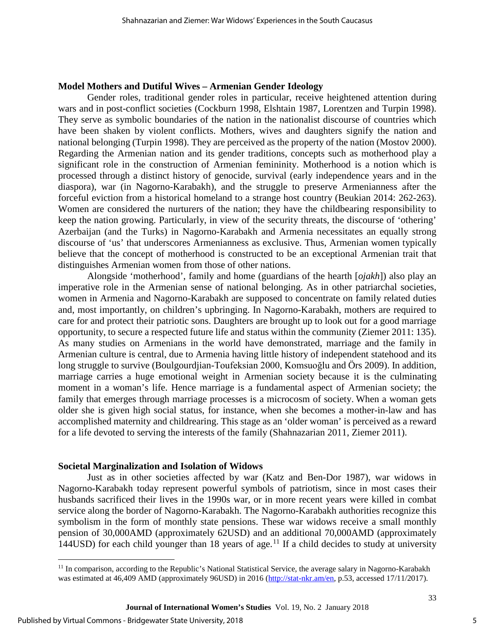#### **Model Mothers and Dutiful Wives – Armenian Gender Ideology**

Gender roles, traditional gender roles in particular, receive heightened attention during wars and in post-conflict societies (Cockburn 1998, Elshtain 1987, Lorentzen and Turpin 1998). They serve as symbolic boundaries of the nation in the nationalist discourse of countries which have been shaken by violent conflicts. Mothers, wives and daughters signify the nation and national belonging (Turpin 1998). They are perceived as the property of the nation (Mostov 2000). Regarding the Armenian nation and its gender traditions, concepts such as motherhood play a significant role in the construction of Armenian femininity. Motherhood is a notion which is processed through a distinct history of genocide, survival (early independence years and in the diaspora), war (in Nagorno-Karabakh), and the struggle to preserve Armenianness after the forceful eviction from a historical homeland to a strange host country (Beukian 2014: 262-263). Women are considered the nurturers of the nation; they have the childbearing responsibility to keep the nation growing. Particularly, in view of the security threats, the discourse of 'othering' Azerbaijan (and the Turks) in Nagorno-Karabakh and Armenia necessitates an equally strong discourse of 'us' that underscores Armenianness as exclusive. Thus, Armenian women typically believe that the concept of motherhood is constructed to be an exceptional Armenian trait that distinguishes Armenian women from those of other nations.

Alongside 'motherhood', family and home (guardians of the hearth [*ojakh*]) also play an imperative role in the Armenian sense of national belonging. As in other patriarchal societies, women in Armenia and Nagorno-Karabakh are supposed to concentrate on family related duties and, most importantly, on children's upbringing. In Nagorno-Karabakh, mothers are required to care for and protect their patriotic sons. Daughters are brought up to look out for a good marriage opportunity, to secure a respected future life and status within the community (Ziemer 2011: 135). As many studies on Armenians in the world have demonstrated, marriage and the family in Armenian culture is central, due to Armenia having little history of independent statehood and its long struggle to survive (Boulgourdjian-Toufeksian 2000, Komsuoğlu and Örs 2009). In addition, marriage carries a huge emotional weight in Armenian society because it is the culminating moment in a woman's life. Hence marriage is a fundamental aspect of Armenian society; the family that emerges through marriage processes is a microcosm of society. When a woman gets older she is given high social status, for instance, when she becomes a mother-in-law and has accomplished maternity and childrearing. This stage as an 'older woman' is perceived as a reward for a life devoted to serving the interests of the family (Shahnazarian 2011, Ziemer 2011).

#### **Societal Marginalization and Isolation of Widows**

Just as in other societies affected by war (Katz and Ben-Dor 1987), war widows in Nagorno-Karabakh today represent powerful symbols of patriotism, since in most cases their husbands sacrificed their lives in the 1990s war, or in more recent years were killed in combat service along the border of Nagorno-Karabakh. The Nagorno-Karabakh authorities recognize this symbolism in the form of monthly state pensions. These war widows receive a small monthly pension of 30,000AMD (approximately 62USD) and an additional 70,000AMD (approximately 144USD) for each child younger than 18 years of age.<sup>[11](#page-5-0)</sup> If a child decides to study at university

l

<span id="page-5-0"></span> $11$  In comparison, according to the Republic's National Statistical Service, the average salary in Nagorno-Karabakh was estimated at 46,409 AMD (approximately 96USD) in 2016 [\(http://stat-nkr.am/en,](http://stat-nkr.am/en) p.53, accessed 17/11/2017).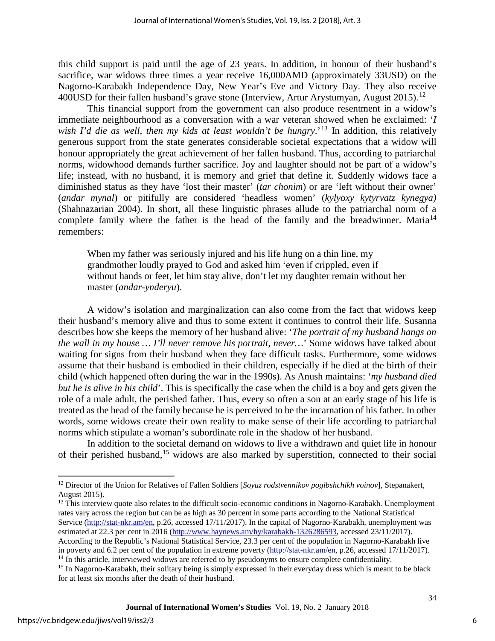this child support is paid until the age of 23 years. In addition, in honour of their husband's sacrifice, war widows three times a year receive 16,000AMD (approximately 33USD) on the Nagorno-Karabakh Independence Day, New Year's Eve and Victory Day. They also receive 400USD for their fallen husband's grave stone (Interview, Artur Arystumyan, August 2015).<sup>[12](#page-6-0)</sup>

This financial support from the government can also produce resentment in a widow's immediate neighbourhood as a conversation with a war veteran showed when he exclaimed: '*I wish I'd die as well, then my kids at least wouldn't be hungry.*<sup>[13](#page-6-1)</sup> In addition, this relatively generous support from the state generates considerable societal expectations that a widow will honour appropriately the great achievement of her fallen husband. Thus, according to patriarchal norms, widowhood demands further sacrifice. Joy and laughter should not be part of a widow's life; instead, with no husband, it is memory and grief that define it. Suddenly widows face a diminished status as they have 'lost their master' (*tar chonim*) or are 'left without their owner' (*andar mynal*) or pitifully are considered 'headless women' (*kylyoxy kytyrvatz kynegya)* (Shahnazarian 2004). In short, all these linguistic phrases allude to the patriarchal norm of a complete family where the father is the head of the family and the breadwinner. Maria<sup>[14](#page-6-2)</sup> remembers:

When my father was seriously injured and his life hung on a thin line, my grandmother loudly prayed to God and asked him 'even if crippled, even if without hands or feet, let him stay alive, don't let my daughter remain without her master (*andar-ynderyu*).

A widow's isolation and marginalization can also come from the fact that widows keep their husband's memory alive and thus to some extent it continues to control their life. Susanna describes how she keeps the memory of her husband alive: '*The portrait of my husband hangs on the wall in my house … I'll never remove his portrait, never…*' Some widows have talked about waiting for signs from their husband when they face difficult tasks. Furthermore, some widows assume that their husband is embodied in their children, especially if he died at the birth of their child (which happened often during the war in the 1990s). As Anush maintains: '*my husband died but he is alive in his child*'. This is specifically the case when the child is a boy and gets given the role of a male adult, the perished father. Thus, every so often a son at an early stage of his life is treated as the head of the family because he is perceived to be the incarnation of his father. In other words, some widows create their own reality to make sense of their life according to patriarchal norms which stipulate a woman's subordinate role in the shadow of her husband.

In addition to the societal demand on widows to live a withdrawn and quiet life in honour of their perished husband,<sup>[15](#page-6-3)</sup> widows are also marked by superstition, connected to their social

<span id="page-6-1"></span><sup>13</sup> This interview quote also relates to the difficult socio-economic conditions in Nagorno-Karabakh. Unemployment rates vary across the region but can be as high as 30 percent in some parts according to the National Statistical Service [\(http://stat-nkr.am/en,](http://stat-nkr.am/en) p.26, accessed 17/11/2017). In the capital of Nagorno-Karabakh, unemployment was estimated at 22.3 per cent in 2016 [\(http://www.haynews.am/hy/karabakh-1326286593,](http://www.haynews.am/hy/karabakh-1326286593) accessed 23/11/2017).

According to the Republic's National Statistical Service, 23.3 per cent of the population in Nagorno-Karabakh live in poverty and 6.2 per cent of the population in extreme poverty  $(\frac{http://stat-nkr.am/en, p.26}{http://stat-nkr.am/en, p.26},$  accessed 17/11/2017). <sup>14</sup> In this article, interviewed widows are referred to by pseudonyms to ensure complete confidenti

 $\overline{\phantom{a}}$ 

<span id="page-6-0"></span><sup>12</sup> Director of the Union for Relatives of Fallen Soldiers [*Soyuz rodstvennikov pogibshchikh voinov*], Stepanakert, August 2015).

<span id="page-6-3"></span><span id="page-6-2"></span><sup>&</sup>lt;sup>15</sup> In Nagorno-Karabakh, their solitary being is simply expressed in their everyday dress which is meant to be black for at least six months after the death of their husband.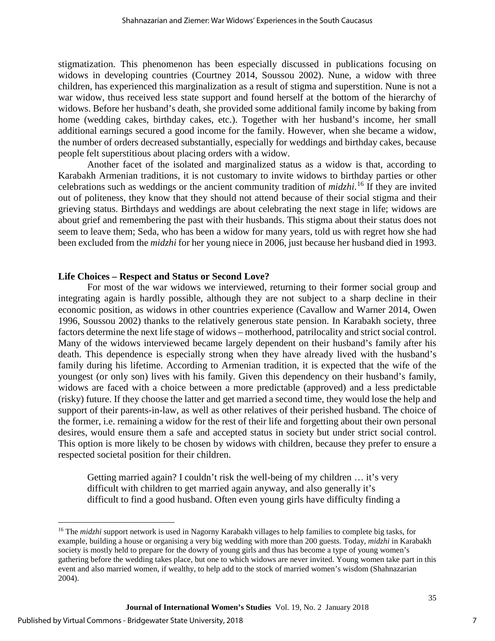stigmatization. This phenomenon has been especially discussed in publications focusing on widows in developing countries (Courtney 2014, Soussou 2002). Nune, a widow with three children, has experienced this marginalization as a result of stigma and superstition. Nune is not a war widow, thus received less state support and found herself at the bottom of the hierarchy of widows. Before her husband's death, she provided some additional family income by baking from home (wedding cakes, birthday cakes, etc.). Together with her husband's income, her small additional earnings secured a good income for the family. However, when she became a widow, the number of orders decreased substantially, especially for weddings and birthday cakes, because people felt superstitious about placing orders with a widow.

Another facet of the isolated and marginalized status as a widow is that, according to Karabakh Armenian traditions, it is not customary to invite widows to birthday parties or other celebrations such as weddings or the ancient community tradition of *midzhi*. [16](#page-7-0) If they are invited out of politeness, they know that they should not attend because of their social stigma and their grieving status. Birthdays and weddings are about celebrating the next stage in life; widows are about grief and remembering the past with their husbands. This stigma about their status does not seem to leave them; Seda, who has been a widow for many years, told us with regret how she had been excluded from the *midzhi* for her young niece in 2006, just because her husband died in 1993.

## **Life Choices – Respect and Status or Second Love?**

For most of the war widows we interviewed, returning to their former social group and integrating again is hardly possible, although they are not subject to a sharp decline in their economic position, as widows in other countries experience (Cavallow and Warner 2014, Owen 1996, Soussou 2002) thanks to the relatively generous state pension. In Karabakh society, three factors determine the next life stage of widows – motherhood, patrilocality and strict social control. Many of the widows interviewed became largely dependent on their husband's family after his death. This dependence is especially strong when they have already lived with the husband's family during his lifetime. According to Armenian tradition, it is expected that the wife of the youngest (or only son) lives with his family. Given this dependency on their husband's family, widows are faced with a choice between a more predictable (approved) and a less predictable (risky) future. If they choose the latter and get married a second time, they would lose the help and support of their parents-in-law, as well as other relatives of their perished husband. The choice of the former, i.e. remaining a widow for the rest of their life and forgetting about their own personal desires, would ensure them a safe and accepted status in society but under strict social control. This option is more likely to be chosen by widows with children, because they prefer to ensure a respected societal position for their children.

Getting married again? I couldn't risk the well-being of my children … it's very difficult with children to get married again anyway, and also generally it's difficult to find a good husband. Often even young girls have difficulty finding a

 $\overline{a}$ 

<span id="page-7-0"></span><sup>&</sup>lt;sup>16</sup> The *midzhi* support network is used in Nagorny Karabakh villages to help families to complete big tasks, for example, building a house or organising a very big wedding with more than 200 guests. Today, *midzhi* in Karabakh society is mostly held to prepare for the dowry of young girls and thus has become a type of young women's gathering before the wedding takes place, but one to which widows are never invited. Young women take part in this event and also married women, if wealthy, to help add to the stock of married women's wisdom (Shahnazarian 2004).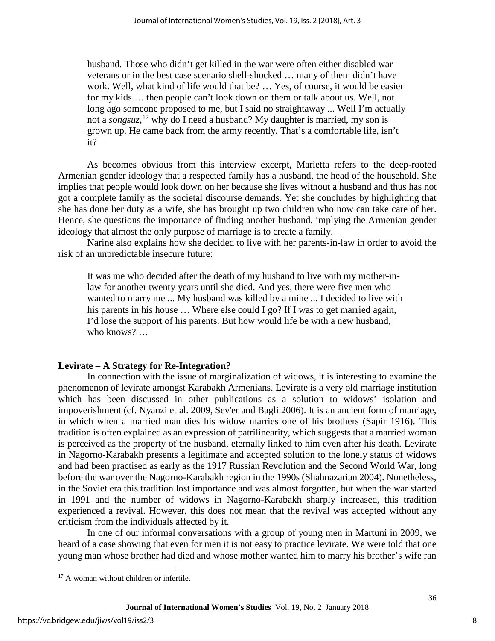husband. Those who didn't get killed in the war were often either disabled war veterans or in the best case scenario shell-shocked … many of them didn't have work. Well, what kind of life would that be? … Yes, of course, it would be easier for my kids … then people can't look down on them or talk about us. Well, not long ago someone proposed to me, but I said no straightaway ... Well I'm actually not a *songsuz,*[17](#page-8-0) why do I need a husband? My daughter is married, my son is grown up. He came back from the army recently. That's a comfortable life, isn't it?

As becomes obvious from this interview excerpt, Marietta refers to the deep-rooted Armenian gender ideology that a respected family has a husband, the head of the household. She implies that people would look down on her because she lives without a husband and thus has not got a complete family as the societal discourse demands. Yet she concludes by highlighting that she has done her duty as a wife, she has brought up two children who now can take care of her. Hence, she questions the importance of finding another husband, implying the Armenian gender ideology that almost the only purpose of marriage is to create a family.

Narine also explains how she decided to live with her parents-in-law in order to avoid the risk of an unpredictable insecure future:

It was me who decided after the death of my husband to live with my mother-inlaw for another twenty years until she died. And yes, there were five men who wanted to marry me ... My husband was killed by a mine ... I decided to live with his parents in his house ... Where else could I go? If I was to get married again, I'd lose the support of his parents. But how would life be with a new husband, who knows? …

#### **Levirate – A Strategy for Re-Integration?**

In connection with the issue of marginalization of widows, it is interesting to examine the phenomenon of levirate amongst Karabakh Armenians. Levirate is a very old marriage institution which has been discussed in other publications as a solution to widows' isolation and impoverishment (cf. Nyanzi et al. 2009, Sev'er and Bagli 2006). It is an ancient form of marriage, in which when a married man dies his widow marries one of his brothers (Sapir 1916). This tradition is often explained as an expression of patrilinearity, which suggests that a married woman is perceived as the property of the husband, eternally linked to him even after his death. Levirate in Nagorno-Karabakh presents a legitimate and accepted solution to the lonely status of widows and had been practised as early as the 1917 Russian Revolution and the Second World War, long before the war over the Nagorno-Karabakh region in the 1990s (Shahnazarian 2004). Nonetheless, in the Soviet era this tradition lost importance and was almost forgotten, but when the war started in 1991 and the number of widows in Nagorno-Karabakh sharply increased, this tradition experienced a revival. However, this does not mean that the revival was accepted without any criticism from the individuals affected by it.

In one of our informal conversations with a group of young men in Martuni in 2009, we heard of a case showing that even for men it is not easy to practice levirate. We were told that one young man whose brother had died and whose mother wanted him to marry his brother's wife ran

l

<span id="page-8-0"></span><sup>&</sup>lt;sup>17</sup> A woman without children or infertile.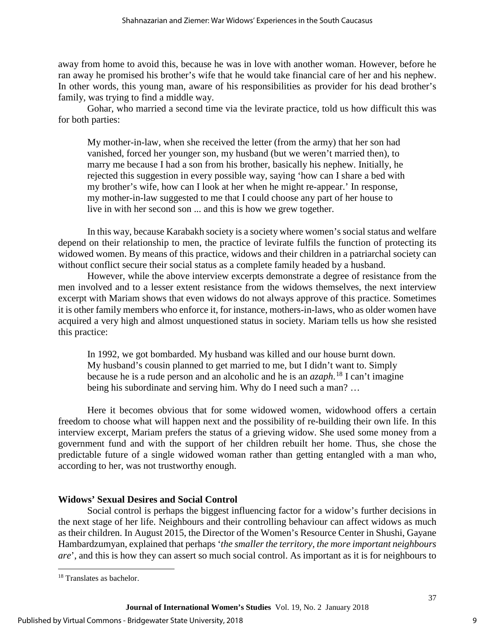away from home to avoid this, because he was in love with another woman. However, before he ran away he promised his brother's wife that he would take financial care of her and his nephew. In other words, this young man, aware of his responsibilities as provider for his dead brother's family, was trying to find a middle way.

Gohar, who married a second time via the levirate practice, told us how difficult this was for both parties:

My mother-in-law, when she received the letter (from the army) that her son had vanished, forced her younger son, my husband (but we weren't married then), to marry me because I had a son from his brother, basically his nephew. Initially, he rejected this suggestion in every possible way, saying 'how can I share a bed with my brother's wife, how can I look at her when he might re-appear.' In response, my mother-in-law suggested to me that I could choose any part of her house to live in with her second son ... and this is how we grew together.

In this way, because Karabakh society is a society where women's social status and welfare depend on their relationship to men, the practice of levirate fulfils the function of protecting its widowed women. By means of this practice, widows and their children in a patriarchal society can without conflict secure their social status as a complete family headed by a husband.

However, while the above interview excerpts demonstrate a degree of resistance from the men involved and to a lesser extent resistance from the widows themselves, the next interview excerpt with Mariam shows that even widows do not always approve of this practice. Sometimes it is other family members who enforce it, for instance, mothers-in-laws, who as older women have acquired a very high and almost unquestioned status in society. Mariam tells us how she resisted this practice:

In 1992, we got bombarded. My husband was killed and our house burnt down. My husband's cousin planned to get married to me, but I didn't want to. Simply because he is a rude person and an alcoholic and he is an *azaph*. [18](#page-9-0) I can't imagine being his subordinate and serving him. Why do I need such a man? …

Here it becomes obvious that for some widowed women, widowhood offers a certain freedom to choose what will happen next and the possibility of re-building their own life. In this interview excerpt, Mariam prefers the status of a grieving widow. She used some money from a government fund and with the support of her children rebuilt her home. Thus, she chose the predictable future of a single widowed woman rather than getting entangled with a man who, according to her, was not trustworthy enough.

## **Widows' Sexual Desires and Social Control**

Social control is perhaps the biggest influencing factor for a widow's further decisions in the next stage of her life. Neighbours and their controlling behaviour can affect widows as much as their children. In August 2015, the Director of the Women's Resource Center in Shushi, Gayane Hambardzumyan, explained that perhaps '*the smaller the territory, the more important neighbours are*', and this is how they can assert so much social control. As important as it is for neighbours to

l

<span id="page-9-0"></span><sup>18</sup> Translates as bachelor.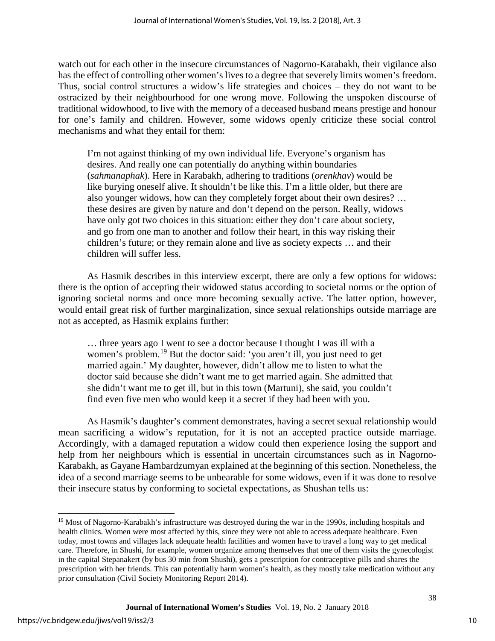watch out for each other in the insecure circumstances of Nagorno-Karabakh, their vigilance also has the effect of controlling other women's lives to a degree that severely limits women's freedom. Thus, social control structures a widow's life strategies and choices – they do not want to be ostracized by their neighbourhood for one wrong move. Following the unspoken discourse of traditional widowhood, to live with the memory of a deceased husband means prestige and honour for one's family and children. However, some widows openly criticize these social control mechanisms and what they entail for them:

I'm not against thinking of my own individual life. Everyone's organism has desires. And really one can potentially do anything within boundaries (*sahmanaphak*). Here in Karabakh, adhering to traditions (*orenkhav*) would be like burying oneself alive. It shouldn't be like this. I'm a little older, but there are also younger widows, how can they completely forget about their own desires? … these desires are given by nature and don't depend on the person. Really, widows have only got two choices in this situation: either they don't care about society, and go from one man to another and follow their heart, in this way risking their children's future; or they remain alone and live as society expects … and their children will suffer less.

As Hasmik describes in this interview excerpt, there are only a few options for widows: there is the option of accepting their widowed status according to societal norms or the option of ignoring societal norms and once more becoming sexually active. The latter option, however, would entail great risk of further marginalization, since sexual relationships outside marriage are not as accepted, as Hasmik explains further:

… three years ago I went to see a doctor because I thought I was ill with a women's problem.[19](#page-10-0) But the doctor said: 'you aren't ill, you just need to get married again.' My daughter, however, didn't allow me to listen to what the doctor said because she didn't want me to get married again. She admitted that she didn't want me to get ill, but in this town (Martuni), she said, you couldn't find even five men who would keep it a secret if they had been with you.

As Hasmik's daughter's comment demonstrates, having a secret sexual relationship would mean sacrificing a widow's reputation, for it is not an accepted practice outside marriage. Accordingly, with a damaged reputation a widow could then experience losing the support and help from her neighbours which is essential in uncertain circumstances such as in Nagorno-Karabakh, as Gayane Hambardzumyan explained at the beginning of this section. Nonetheless, the idea of a second marriage seems to be unbearable for some widows, even if it was done to resolve their insecure status by conforming to societal expectations, as Shushan tells us:

l

<span id="page-10-0"></span><sup>&</sup>lt;sup>19</sup> Most of Nagorno-Karabakh's infrastructure was destroyed during the war in the 1990s, including hospitals and health clinics. Women were most affected by this, since they were not able to access adequate healthcare. Even today, most towns and villages lack adequate health facilities and women have to travel a long way to get medical care. Therefore, in Shushi, for example, women organize among themselves that one of them visits the gynecologist in the capital Stepanakert (by bus 30 min from Shushi), gets a prescription for contraceptive pills and shares the prescription with her friends. This can potentially harm women's health, as they mostly take medication without any prior consultation (Civil Society Monitoring Report 2014).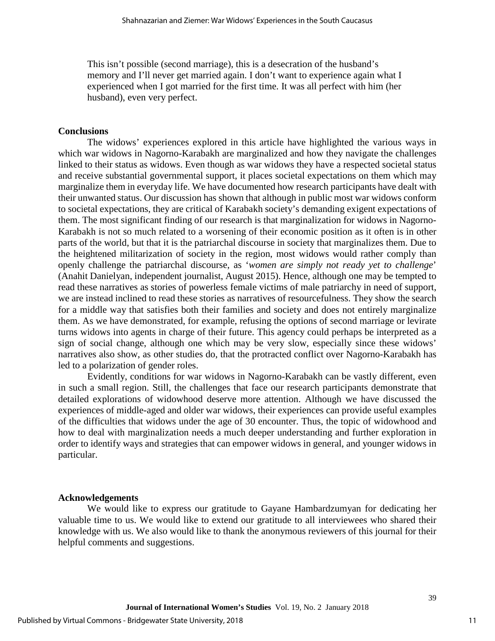This isn't possible (second marriage), this is a desecration of the husband's memory and I'll never get married again. I don't want to experience again what I experienced when I got married for the first time. It was all perfect with him (her husband), even very perfect.

#### **Conclusions**

The widows' experiences explored in this article have highlighted the various ways in which war widows in Nagorno-Karabakh are marginalized and how they navigate the challenges linked to their status as widows. Even though as war widows they have a respected societal status and receive substantial governmental support, it places societal expectations on them which may marginalize them in everyday life. We have documented how research participants have dealt with their unwanted status. Our discussion has shown that although in public most war widows conform to societal expectations, they are critical of Karabakh society's demanding exigent expectations of them. The most significant finding of our research is that marginalization for widows in Nagorno-Karabakh is not so much related to a worsening of their economic position as it often is in other parts of the world, but that it is the patriarchal discourse in society that marginalizes them. Due to the heightened militarization of society in the region, most widows would rather comply than openly challenge the patriarchal discourse, as '*women are simply not ready yet to challenge*' (Anahit Danielyan, independent journalist, August 2015). Hence, although one may be tempted to read these narratives as stories of powerless female victims of male patriarchy in need of support, we are instead inclined to read these stories as narratives of resourcefulness. They show the search for a middle way that satisfies both their families and society and does not entirely marginalize them. As we have demonstrated, for example, refusing the options of second marriage or levirate turns widows into agents in charge of their future. This agency could perhaps be interpreted as a sign of social change, although one which may be very slow, especially since these widows' narratives also show, as other studies do, that the protracted conflict over Nagorno-Karabakh has led to a polarization of gender roles.

Evidently, conditions for war widows in Nagorno-Karabakh can be vastly different, even in such a small region. Still, the challenges that face our research participants demonstrate that detailed explorations of widowhood deserve more attention. Although we have discussed the experiences of middle-aged and older war widows, their experiences can provide useful examples of the difficulties that widows under the age of 30 encounter. Thus, the topic of widowhood and how to deal with marginalization needs a much deeper understanding and further exploration in order to identify ways and strategies that can empower widows in general, and younger widows in particular.

#### **Acknowledgements**

We would like to express our gratitude to Gayane Hambardzumyan for dedicating her valuable time to us. We would like to extend our gratitude to all interviewees who shared their knowledge with us. We also would like to thank the anonymous reviewers of this journal for their helpful comments and suggestions.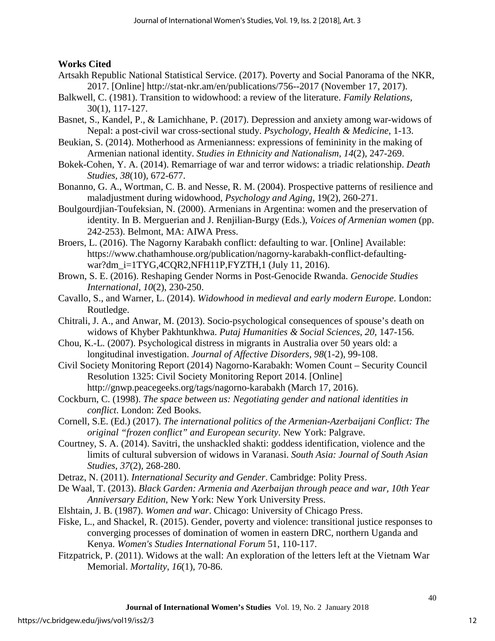## **Works Cited**

- Artsakh Republic National Statistical Service. (2017). Poverty and Social Panorama of the NKR, 2017. [Online] http://stat-nkr.am/en/publications/756--2017 (November 17, 2017).
- Balkwell, C. (1981). Transition to widowhood: a review of the literature. *Family Relations,* 30(1), 117-127.
- Basnet, S., Kandel, P., & Lamichhane, P. (2017). Depression and anxiety among war-widows of Nepal: a post-civil war cross-sectional study. *Psychology, Health & Medicine*, 1-13.
- Beukian, S. (2014). Motherhood as Armenianness: expressions of femininity in the making of Armenian national identity. *Studies in Ethnicity and Nationalism*, *14*(2), 247-269.
- Bokek-Cohen, Y. A. (2014). Remarriage of war and terror widows: a triadic relationship. *Death Studies*, *38*(10), 672-677.
- Bonanno, G. A., Wortman, C. B. and Nesse, R. M. (2004). Prospective patterns of resilience and maladjustment during widowhood, *Psychology and Aging*, 19(2), 260-271.
- Boulgourdjian-Toufeksian, N. (2000). Armenians in Argentina: women and the preservation of identity. In B. Merguerian and J. Renjilian-Burgy (Eds.), *Voices of Armenian women* (pp. 242-253). Belmont, MA: AIWA Press.
- Broers, L. (2016). The Nagorny Karabakh conflict: defaulting to war. [Online] Available: https://www.chathamhouse.org/publication/nagorny-karabakh-conflict-defaultingwar?dm\_i=1TYG,4CQR2,NFH11P,FYZTH,1 (July 11, 2016).
- Brown, S. E. (2016). Reshaping Gender Norms in Post-Genocide Rwanda. *Genocide Studies International*, *10*(2), 230-250.
- Cavallo, S., and Warner, L. (2014). *Widowhood in medieval and early modern Europe*. London: Routledge.
- Chitrali, J. A., and Anwar, M. (2013). Socio-psychological consequences of spouse's death on widows of Khyber Pakhtunkhwa. *Putaj Humanities & Social Sciences*, *20,* 147-156.
- Chou, K.-L. (2007). Psychological distress in migrants in Australia over 50 years old: a longitudinal investigation. *Journal of Affective Disorders, 98*(1-2), 99-108.
- Civil Society Monitoring Report (2014) Nagorno-Karabakh: Women Count Security Council Resolution 1325: Civil Society Monitoring Report 2014. [Online] http://gnwp.peacegeeks.org/tags/nagorno-karabakh (March 17, 2016).
- Cockburn, C. (1998). *The space between us: Negotiating gender and national identities in conflict*. London: Zed Books.
- Cornell, S.E. (Ed.) (2017). *The international politics of the Armenian-Azerbaijani Conflict: The original "frozen conflict" and European security*. New York: Palgrave.
- Courtney, S. A. (2014). Savitri, the unshackled shakti: goddess identification, violence and the limits of cultural subversion of widows in Varanasi. *South Asia: Journal of South Asian Studies*, *37*(2), 268-280.
- Detraz, N. (2011). *International Security and Gender*. Cambridge: Polity Press.
- De Waal, T. (2013). *Black Garden: Armenia and Azerbaijan through peace and war, 10th Year Anniversary Edition,* New York: New York University Press.
- Elshtain, J. B. (1987). *Women and war*. Chicago: University of Chicago Press.
- Fiske, L., and Shackel, R. (2015). Gender, poverty and violence: transitional justice responses to converging processes of domination of women in eastern DRC, northern Uganda and Kenya. *Women's Studies International Forum* 51, 110-117.
- Fitzpatrick, P. (2011). Widows at the wall: An exploration of the letters left at the Vietnam War Memorial. *Mortality*, *16*(1), 70-86.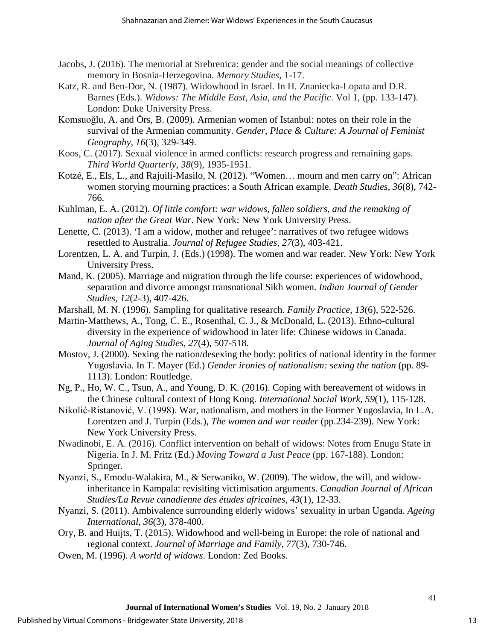- Jacobs, J. (2016). The memorial at Srebrenica: gender and the social meanings of collective memory in Bosnia-Herzegovina. *Memory Studies*, 1-17.
- Katz, R. and Ben-Dor, N. (1987). Widowhood in Israel. In H. Znaniecka-Lopata and D.R. Barnes (Eds.). *Widows: The Middle East, Asia, and the Pacific*. Vol 1, (pp. 133-147). London: Duke University Press.
- Komsuoğlu, A. and Örs, B. (2009). Armenian women of Istanbul: notes on their role in the survival of the Armenian community. *Gender, Place & Culture: A Journal of Feminist Geography*, *16*(3), 329-349.
- Koos, C. (2017). Sexual violence in armed conflicts: research progress and remaining gaps. *Third World Quarterly*, *38*(9), 1935-1951.
- Kotzé, E., Els, L., and Rajuili-Masilo, N. (2012). "Women… mourn and men carry on": African women storying mourning practices: a South African example. *Death Studies*, *36*(8), 742- 766.
- Kuhlman, E. A. (2012). *Of little comfort: war widows, fallen soldiers, and the remaking of nation after the Great War*. New York: New York University Press.
- Lenette, C. (2013). 'I am a widow, mother and refugee': narratives of two refugee widows resettled to Australia. *Journal of Refugee Studies*, *27*(3), 403-421.
- Lorentzen, L. A. and Turpin, J. (Eds.) (1998). The women and war reader. New York: New York University Press.
- Mand, K. (2005). Marriage and migration through the life course: experiences of widowhood, separation and divorce amongst transnational Sikh women. *Indian Journal of Gender Studies, 12*(2-3), 407-426.
- Marshall, M. N. (1996). Sampling for qualitative research. *Family Practice*, *13*(6), 522-526.
- Martin-Matthews, A., Tong, C. E., Rosenthal, C. J., & McDonald, L. (2013). Ethno-cultural diversity in the experience of widowhood in later life: Chinese widows in Canada. *Journal of Aging Studies*, *27*(4), 507-518.
- Mostov, J. (2000). Sexing the nation/desexing the body: politics of national identity in the former Yugoslavia. In T. Mayer (Ed.) *Gender ironies of nationalism: sexing the nation* (pp. 89- 1113). London: Routledge.
- Ng, P., Ho, W. C., Tsun, A., and Young, D. K. (2016). Coping with bereavement of widows in the Chinese cultural context of Hong Kong. *International Social Work*, *59*(1), 115-128.
- Nikolić-Ristanović, V. (1998). War, nationalism, and mothers in the Former Yugoslavia, In L.A. Lorentzen and J. Turpin (Eds.), *The women and war reader* (pp.234-239). New York: New York University Press.
- Nwadinobi, E. A. (2016). Conflict intervention on behalf of widows: Notes from Enugu State in Nigeria. In J. M. Fritz (Ed.) *Moving Toward a Just Peace* (pp. 167-188). London: Springer.
- Nyanzi, S., Emodu-Walakira, M., & Serwaniko, W. (2009). The widow, the will, and widowinheritance in Kampala: revisiting victimisation arguments. *Canadian Journal of African Studies/La Revue canadienne des études africaines*, *43*(1), 12-33.
- Nyanzi, S. (2011). Ambivalence surrounding elderly widows' sexuality in urban Uganda. *Ageing International*, *36*(3), 378-400.
- Ory, B. and Huijts, T. (2015). Widowhood and well‐being in Europe: the role of national and regional context. *Journal of Marriage and Family*, *77*(3), 730-746.
- Owen, M. (1996). *A world of widows*. London: Zed Books.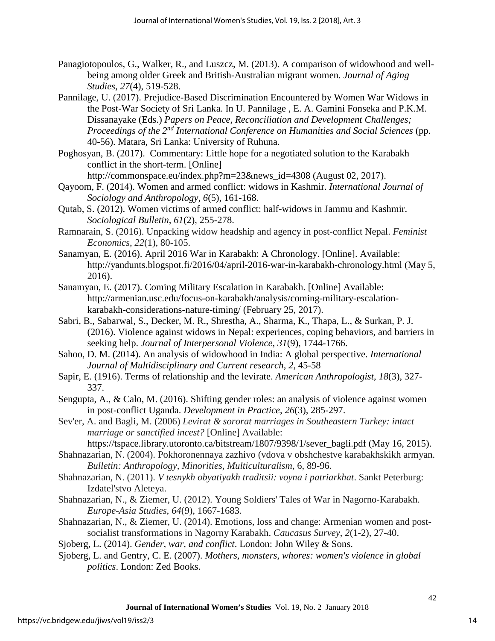- Panagiotopoulos, G., Walker, R., and Luszcz, M. (2013). A comparison of widowhood and wellbeing among older Greek and British-Australian migrant women. *Journal of Aging Studies*, *27*(4), 519-528.
- Pannilage, U. (2017). Prejudice-Based Discrimination Encountered by Women War Widows in the Post-War Society of Sri Lanka. In U. Pannilage , E. A. Gamini Fonseka and P.K.M. Dissanayake (Eds.) *Papers on Peace, Reconciliation and Development Challenges; Proceedings of the 2<sup>nd</sup> International Conference on Humanities and Social Sciences (pp.* 40-56). Matara, Sri Lanka: University of Ruhuna.
- Poghosyan, B. (2017). Commentary: Little hope for a negotiated solution to the Karabakh conflict in the short-term. [Online]

http://commonspace.eu/index.php?m=23&news\_id=4308 (August 02, 2017).

- Qayoom, F. (2014). Women and armed conflict: widows in Kashmir. *International Journal of Sociology and Anthropology*, *6*(5), 161-168.
- Qutab, S. (2012). Women victims of armed conflict: half-widows in Jammu and Kashmir. *Sociological Bulletin*, *61*(2), 255-278.
- Ramnarain, S. (2016). Unpacking widow headship and agency in post-conflict Nepal. *Feminist Economics*, *22*(1), 80-105.
- Sanamyan, E. (2016). April 2016 War in Karabakh: A Chronology. [Online]. Available: http://yandunts.blogspot.fi/2016/04/april-2016-war-in-karabakh-chronology.html (May 5, 2016).
- Sanamyan, E. (2017). Coming Military Escalation in Karabakh. [Online] Available: http://armenian.usc.edu/focus-on-karabakh/analysis/coming-military-escalationkarabakh-considerations-nature-timing/ (February 25, 2017).
- Sabri, B., Sabarwal, S., Decker, M. R., Shrestha, A., Sharma, K., Thapa, L., & Surkan, P. J. (2016). Violence against widows in Nepal: experiences, coping behaviors, and barriers in seeking help. *Journal of Interpersonal Violence*, *31*(9), 1744-1766.
- Sahoo, D. M. (2014). An analysis of widowhood in India: A global perspective. *International Journal of Multidisciplinary and Current research*, *2*, 45-58
- Sapir, E. (1916). Terms of relationship and the levirate. *American Anthropologist*, *18*(3), 327- 337.
- Sengupta, A., & Calo, M. (2016). Shifting gender roles: an analysis of violence against women in post-conflict Uganda. *Development in Practice*, *26*(3), 285-297.
- Sev'er, A. and Bagli, M. (2006) *Levirat & sororat marriages in Southeastern Turkey: intact marriage or sanctified incest?* [Online] Available:

https://tspace.library.utoronto.ca/bitstream/1807/9398/1/sever\_bagli.pdf (May 16, 2015).

- Shahnazarian, N. (2004). Pokhoronennaya zazhivo (vdova v obshchestve karabakhskikh armyan. *Bulletin: Anthropology, Minorities, Multiculturalism*, 6, 89-96.
- Shahnazarian, N. (2011). *V tesnykh obyatiyakh traditsii: voyna i patriarkhat*. Sankt Peterburg: Izdatel'stvo Aleteya.
- Shahnazarian, N., & Ziemer, U. (2012). Young Soldiers' Tales of War in Nagorno-Karabakh. *Europe-Asia Studies*, *64*(9), 1667-1683.
- Shahnazarian, N., & Ziemer, U. (2014). Emotions, loss and change: Armenian women and postsocialist transformations in Nagorny Karabakh. *Caucasus Survey*, *2*(1-2), 27-40.
- Sjoberg, L. (2014). *Gender, war, and conflict*. London: John Wiley & Sons.
- Sjoberg, L. and Gentry, C. E. (2007). *Mothers, monsters, whores: women's violence in global politics*. London: Zed Books.